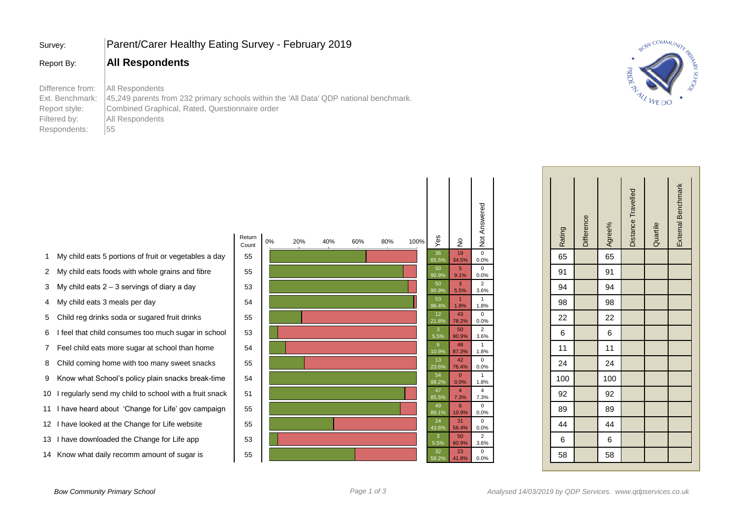| Survey:                                                                              | Parent/Carer Healthy Eating Survey - February 2019                                                                                                                                  |
|--------------------------------------------------------------------------------------|-------------------------------------------------------------------------------------------------------------------------------------------------------------------------------------|
| Report By:                                                                           | <b>All Respondents</b>                                                                                                                                                              |
| Difference from:<br>Ext. Benchmark:<br>Report style:<br>Filtered by:<br>Respondents: | All Respondents<br>45,249 parents from 232 primary schools within the 'All Data' QDP national benchmark.<br>Combined Graphical, Rated, Questionnaire order<br>All Respondents<br>55 |



| Not Answered                             | Rating | <b>Difference</b> | Agree% | Distance Travelled | Quartile | External Benchmark |  |
|------------------------------------------|--------|-------------------|--------|--------------------|----------|--------------------|--|
| $\frac{1}{0}$<br>0.0%                    | 65     |                   | 65     |                    |          |                    |  |
| $\mathbf 0$<br>$0.0\%$                   | 91     |                   | 91     |                    |          |                    |  |
| $\overline{\phantom{a}}$                 | 94     |                   | 94     |                    |          |                    |  |
| $\frac{3.6\%}{1}$<br>1.8%                | 98     |                   | 98     |                    |          |                    |  |
| $\overline{\phantom{0}}$<br>$0.0\%$      | 22     |                   | 22     |                    |          |                    |  |
| $\overline{2}$<br>3.6%                   | 6      |                   | 6      |                    |          |                    |  |
| $\overline{1}$<br>1.8%                   | 11     |                   | 11     |                    |          |                    |  |
| $\overline{\phantom{0}}$<br>$0.0\%$      | 24     |                   | 24     |                    |          |                    |  |
| $\overline{1}$<br>1.8%                   | 100    |                   | 100    |                    |          |                    |  |
| $\overline{4}$<br>7.3%                   | 92     |                   | 92     |                    |          |                    |  |
| $\overline{\phantom{0}}$<br>$0.0\%$      | 89     |                   | 89     |                    |          |                    |  |
| $\begin{array}{c} 0 \ 0.0\% \end{array}$ | 44     |                   | 44     |                    |          |                    |  |
| $\overline{2}$<br>3.6%                   | 6      |                   | 6      |                    |          |                    |  |
| $\mathbf 0$<br>$0.0\%$                   | 58     |                   | 58     |                    |          |                    |  |

- 1 My child eats 5 portions of fruit or vegetables a day  $\begin{bmatrix} 5 \end{bmatrix}$
- 2 My child eats foods with whole grains and fibre 15
- 3 My child eats  $2 3$  servings of diary a day  $\begin{array}{|l|} \hline \end{array}$  5
- 4 My child eats 3 meals per day 15
- 5 Child reg drinks soda or sugared fruit drinks 15
- 6 I feel that child consumes too much sugar in school 5
- 7 Feel child eats more sugar at school than home 1 5
- 8 Child coming home with too many sweet snacks | 5
- 9 Know what School's policy plain snacks break-time | 5
- 10 I regularly send my child to school with a fruit snack | 5
- 11 I have heard about 'Change for Life' gov campaign | 5
- 12 I have looked at the Change for Life website **1** 5
- 13 I have downloaded the Change for Life app 55
- 14 Know what daily recomm amount of sugar is **Fig. 1** 5

|    |     |     |     |     |      |             |                                                                   | Not Answered                                              |
|----|-----|-----|-----|-----|------|-------------|-------------------------------------------------------------------|-----------------------------------------------------------|
| 0% | 20% | 40% | 60% | 80% | 100% |             | ş                                                                 |                                                           |
|    |     |     |     |     |      | 36<br>65.5% | 19<br>34.5%                                                       | $\mathbf 0$<br>0.0%                                       |
|    |     |     |     |     |      | 50<br>90.9% | $\overline{5}$<br>9.1%                                            | $\mathsf 0$<br>0.0%                                       |
|    |     |     |     |     |      | 50<br>90.9% | 3<br>5.5%                                                         | $\overline{2}$<br>3.6%                                    |
|    |     |     |     |     |      | 53<br>96.4% | 1<br>1.8%                                                         | $\mathbf{1}$<br>1.8%                                      |
|    |     |     |     |     |      | 12<br>21.8% | 43<br>78.2%                                                       | $\mathbf 0$<br>0.0%                                       |
|    |     |     |     |     |      | 3<br>5.5%   | 50<br>90.9%                                                       | $\overline{2}$<br>3.6%                                    |
|    |     |     |     |     |      | 6           | 48                                                                | $\mathbf{1}$<br>1.8%                                      |
|    |     |     |     |     |      | 13          | 42                                                                | 0<br>0.0%                                                 |
|    |     |     |     |     |      | 54          | $\mathbf{0}$                                                      | $\mathbf{1}$<br>1.8%                                      |
|    |     |     |     |     |      | 47          | $\overline{4}$                                                    | $\overline{4}$<br>7.3%                                    |
|    |     |     |     |     |      | 49          | $6\phantom{1}$                                                    | $\mathsf 0$<br>0.0%                                       |
|    |     |     |     |     |      | 24          | 31                                                                | $\mathbf 0$<br>0.0%                                       |
|    |     |     |     |     |      | 3           | 50                                                                | $\overline{2}$<br>3.6%                                    |
|    |     |     |     |     |      | 32<br>58.2% | 23<br>41.8%                                                       | $\pmb{0}$<br>0.0%                                         |
|    |     |     |     |     |      |             | Yes<br>10.9%<br>23.6%<br>98.2%<br>85.5%<br>89.1%<br>43.6%<br>5.5% | 87.3%<br>76.4%<br>0.0%<br>7.3%<br>10.9%<br>56.4%<br>90.9% |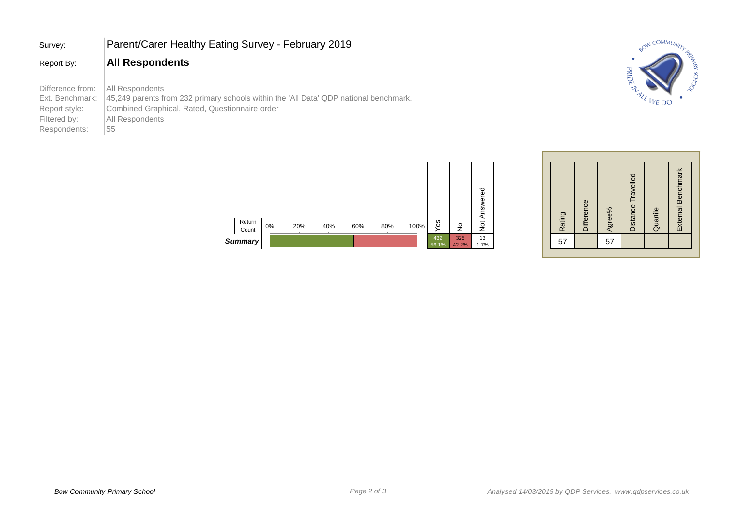| Survey:                                                                              | Parent/Carer Healthy Eating Survey - February 2019                                                                                                                                  |
|--------------------------------------------------------------------------------------|-------------------------------------------------------------------------------------------------------------------------------------------------------------------------------------|
| Report By:                                                                           | <b>All Respondents</b>                                                                                                                                                              |
| Difference from:<br>Ext. Benchmark:<br>Report style:<br>Filtered by:<br>Respondents: | All Respondents<br>45.249 parents from 232 primary schools within the 'All Data' QDP national benchmark.<br>Combined Graphical, Rated, Questionnaire order<br>All Respondents<br>55 |





| Not Answered |  | Rating | <b>Difference</b> | Agree% | Distance Travelled | Quartile | External Benchmark |  |
|--------------|--|--------|-------------------|--------|--------------------|----------|--------------------|--|
| 13<br>1.7%   |  | 57     |                   | 57     |                    |          |                    |  |
|              |  |        |                   |        |                    |          |                    |  |